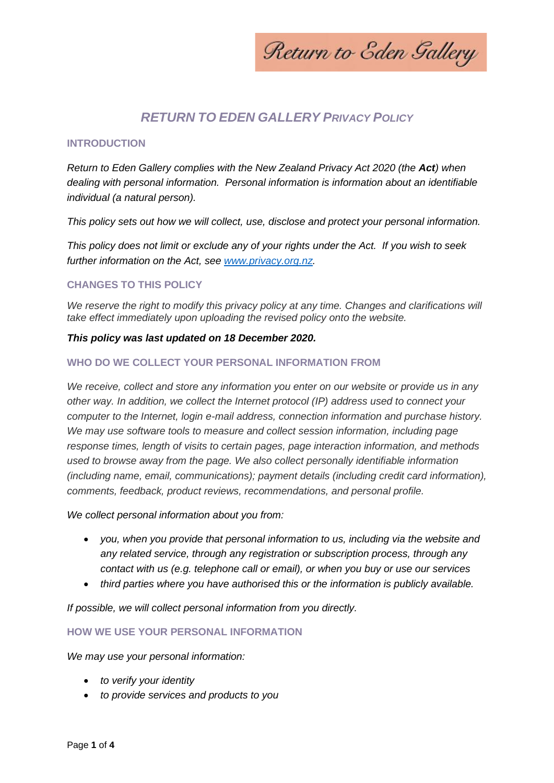Return to Eden Gallery

# *RETURN TO EDEN GALLERY PRIVACY POLICY*

#### **INTRODUCTION**

*Return to Eden Gallery complies with the New Zealand Privacy Act 2020 (the Act) when dealing with personal information. Personal information is information about an identifiable individual (a natural person).*

*This policy sets out how we will collect, use, disclose and protect your personal information.*

*This policy does not limit or exclude any of your rights under the Act. If you wish to seek further information on the Act, see [www.privacy.org.nz.](http://www.privacy.org.nz/)*

## **CHANGES TO THIS POLICY**

We reserve the right to modify this privacy policy at any time. Changes and clarifications will *take effect immediately upon uploading the revised policy onto the website.*

#### *This policy was last updated on 18 December 2020.*

#### **WHO DO WE COLLECT YOUR PERSONAL INFORMATION FROM**

*We receive, collect and store any information you enter on our website or provide us in any other way. In addition, we collect the Internet protocol (IP) address used to connect your computer to the Internet, login e-mail address, connection information and purchase history. We may use software tools to measure and collect session information, including page response times, length of visits to certain pages, page interaction information, and methods used to browse away from the page. We also collect personally identifiable information (including name, email, communications); payment details (including credit card information), comments, feedback, product reviews, recommendations, and personal profile.*

#### *We collect personal information about you from:*

- *you, when you provide that personal information to us, including via the website and any related service, through any registration or subscription process, through any contact with us (e.g. telephone call or email), or when you buy or use our services*
- *third parties where you have authorised this or the information is publicly available.*

*If possible, we will collect personal information from you directly.* 

## **HOW WE USE YOUR PERSONAL INFORMATION**

*We may use your personal information:* 

- *to verify your identity*
- *to provide services and products to you*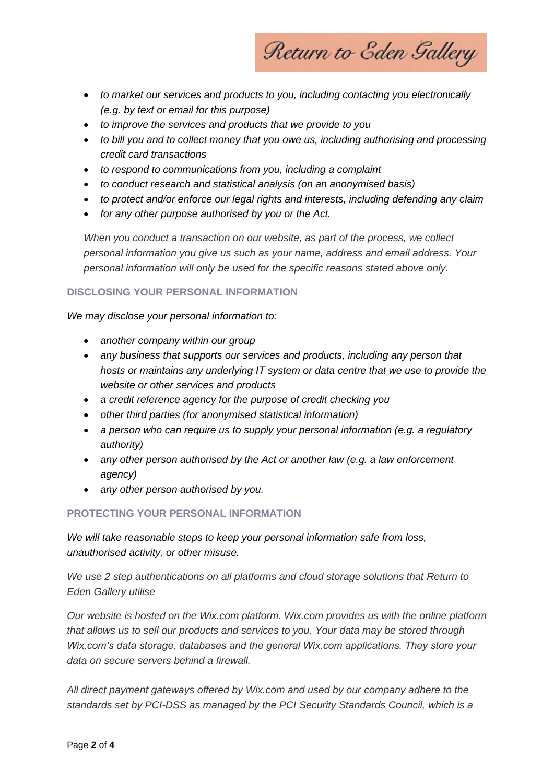Return to Eden Gallery

- *to market our services and products to you, including contacting you electronically (e.g. by text or email for this purpose)*
- *to improve the services and products that we provide to you*
- *to bill you and to collect money that you owe us, including authorising and processing credit card transactions*
- *to respond to communications from you, including a complaint*
- *to conduct research and statistical analysis (on an anonymised basis)*
- *to protect and/or enforce our legal rights and interests, including defending any claim*
- *for any other purpose authorised by you or the Act.*

*When you conduct a transaction on our website, as part of the process, we collect personal information you give us such as your name, address and email address. Your personal information will only be used for the specific reasons stated above only.*

## **DISCLOSING YOUR PERSONAL INFORMATION**

*We may disclose your personal information to:* 

- *another company within our group*
- *any business that supports our services and products, including any person that hosts or maintains any underlying IT system or data centre that we use to provide the website or other services and products*
- *a credit reference agency for the purpose of credit checking you*
- *other third parties (for anonymised statistical information)*
- *a person who can require us to supply your personal information (e.g. a regulatory authority)*
- *any other person authorised by the Act or another law (e.g. a law enforcement agency)*
- *any other person authorised by you.*

## **PROTECTING YOUR PERSONAL INFORMATION**

*We will take reasonable steps to keep your personal information safe from loss, unauthorised activity, or other misuse.*

*We use 2 step authentications on all platforms and cloud storage solutions that Return to Eden Gallery utilise*

*Our website is hosted on the Wix.com platform. Wix.com provides us with the online platform that allows us to sell our products and services to you. Your data may be stored through Wix.com's data storage, databases and the general Wix.com applications. They store your data on secure servers behind a firewall.*

*All direct payment gateways offered by Wix.com and used by our company adhere to the standards set by PCI-DSS as managed by the PCI Security Standards Council, which is a*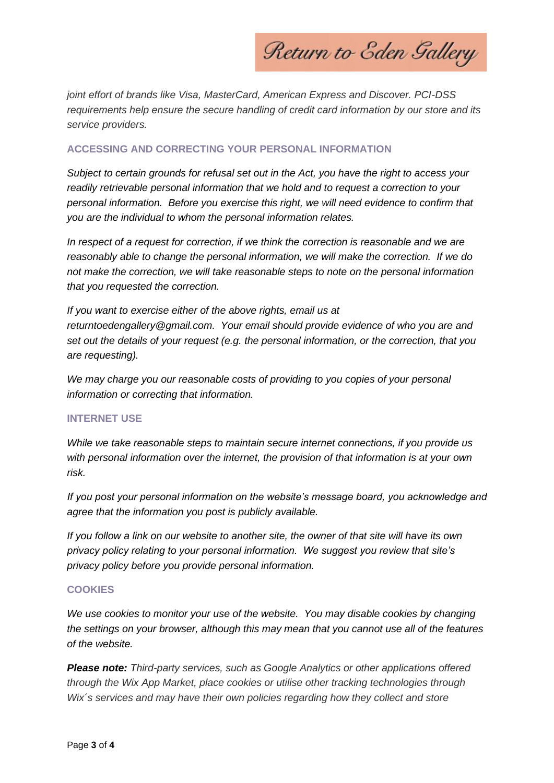Return to Eden Gallery

*joint effort of brands like Visa, MasterCard, American Express and Discover. PCI-DSS requirements help ensure the secure handling of credit card information by our store and its service providers.*

## **ACCESSING AND CORRECTING YOUR PERSONAL INFORMATION**

*Subject to certain grounds for refusal set out in the Act, you have the right to access your readily retrievable personal information that we hold and to request a correction to your personal information. Before you exercise this right, we will need evidence to confirm that you are the individual to whom the personal information relates.*

*In respect of a request for correction, if we think the correction is reasonable and we are reasonably able to change the personal information, we will make the correction. If we do not make the correction, we will take reasonable steps to note on the personal information that you requested the correction.*

*If you want to exercise either of the above rights, email us at returntoedengallery@gmail.com. Your email should provide evidence of who you are and set out the details of your request (e.g. the personal information, or the correction, that you are requesting).*

*We may charge you our reasonable costs of providing to you copies of your personal information or correcting that information.*

## **INTERNET USE**

*While we take reasonable steps to maintain secure internet connections, if you provide us with personal information over the internet, the provision of that information is at your own risk.*

*If you post your personal information on the website's message board, you acknowledge and agree that the information you post is publicly available.*

*If you follow a link on our website to another site, the owner of that site will have its own privacy policy relating to your personal information. We suggest you review that site's privacy policy before you provide personal information.*

## **COOKIES**

*We use cookies to monitor your use of the website. You may disable cookies by changing the settings on your browser, although this may mean that you cannot use all of the features of the website.* 

*Please note: Third-party services, such as Google Analytics or other applications offered through the Wix App Market, place cookies or utilise other tracking technologies through Wix´s services and may have their own policies regarding how they collect and store*